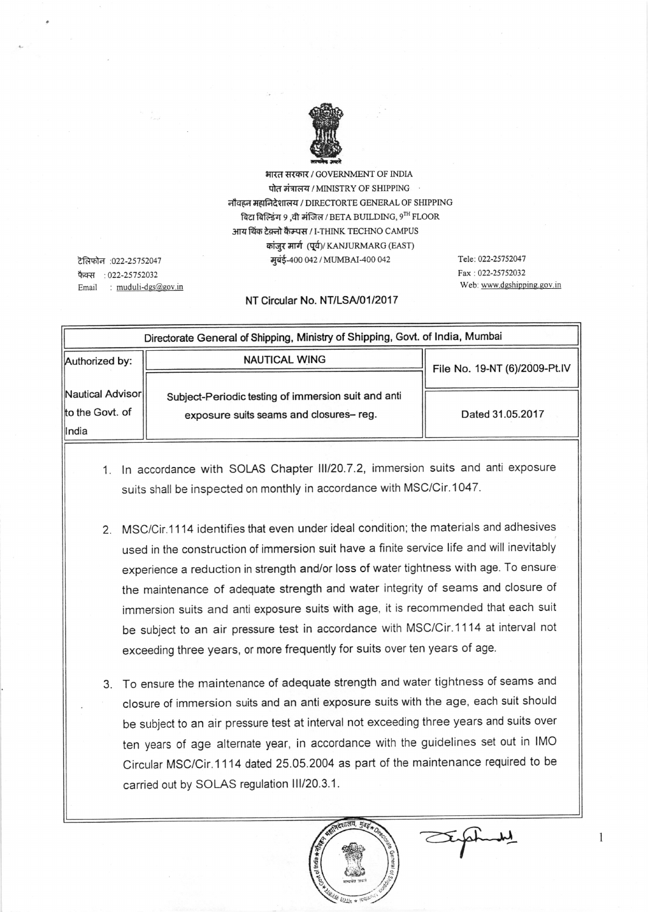

भारत सरकार / GOVERNMENT OF INDIA पोत मंत्रालय / MINISTRY OF SHIPPING नौवहन महानिदेशालय / DIRECTORTE GENERAL OF SHIPPING बिटा बिल्डिंग 9 .वी मंजिल / BETA BUILDING,  $9^{TH}$  FLOOR आय थिंक टेक्नो कैम्पस / I-THINK TECHNO CAMPUS कांजर मार्ग (पूर्व)/ KANJURMARG (EAST) मुबंई-400 042 / MUMBAI-400 042

टेलिफोन : 022-25752047 फैक्स:  $022 - 25752032$ Email : muduli-dgs@gov.in Tele: 022-25752047 Fax: 022-25752032 Web: www.dgshipping.gov.in

## NT Circular No. NT/LSA/01/2017

| Directorate General of Shipping, Ministry of Shipping, Govt. of India, Mumbai |                                                                                               |                               |
|-------------------------------------------------------------------------------|-----------------------------------------------------------------------------------------------|-------------------------------|
| Authorized by:                                                                | <b>NAUTICAL WING</b>                                                                          | File No. 19-NT (6)/2009-Pt.IV |
|                                                                               |                                                                                               |                               |
| Nautical Advisor                                                              | Subject-Periodic testing of immersion suit and anti<br>exposure suits seams and closures-reg. | Dated 31.05.2017              |
| to the Govt. of                                                               |                                                                                               |                               |
| <b>India</b>                                                                  |                                                                                               |                               |

- 1. In accordance with SOLAS Chapter III/20.7.2, immersion suits and anti exposure suits shall be inspected on monthly in accordance with MSC/Cir.1047.
- <sup>2</sup> MSC/Cir.1114 identifies that even under ideal condition; the materials and adhesives used in the construction of immersion suit have a finite service life and will inevitably experience a reduction in strength and/or loss of water tightness with age. To ensure the maintenance of adequate strength and water integrity of seams and closure of immersion suits and anti exposure suits with age, it is recommended that each suit be subject to an air pressure test in accordance with MSC/Cir.1114 at interval not exceeding three years, or more frequently for suits over ten years of age.
- To ensure the maintenance of adequate strength and water tightness of seams and 3. closure of immersion suits and an anti exposure suits with the age, each suit should be subject to an air pressure test at interval not exceeding three years and suits over ten years of age atternate year, in accordance with the guidelines set out in IMO Circular MSC/Cir.1114 dated 25.05.2004 as part of the maintenance required to be carried out by SOLAS regulation III/20.3.1.



1